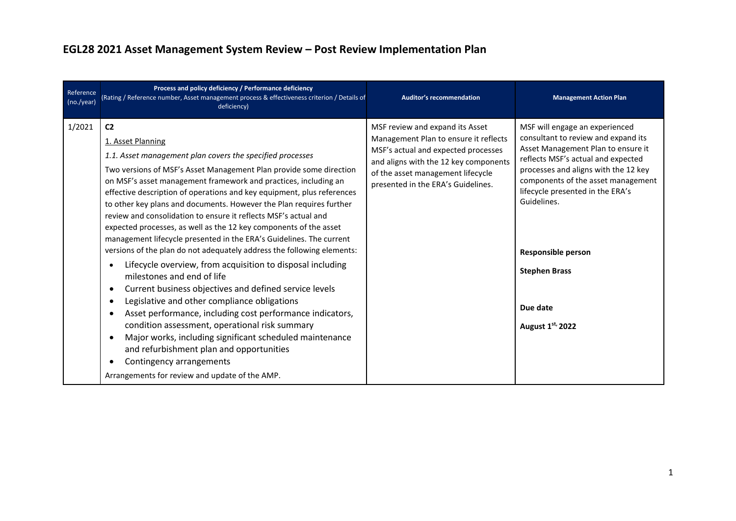## **EGL28 2021 Asset Management System Review – Post Review Implementation Plan**

| Reference<br>(no./year) | Process and policy deficiency / Performance deficiency<br>(Rating / Reference number, Asset management process & effectiveness criterion / Details of<br>deficiency)                                                                                                                                                                                                                                                                                                                                                                                                                                                                                                                                                                                                                                                                                                                                                                                                                                                                                                                                                                                                                           | <b>Auditor's recommendation</b>                                                                                                                                                                                                     | <b>Management Action Plan</b>                                                                                                                                                                                                                                                                                                                                           |
|-------------------------|------------------------------------------------------------------------------------------------------------------------------------------------------------------------------------------------------------------------------------------------------------------------------------------------------------------------------------------------------------------------------------------------------------------------------------------------------------------------------------------------------------------------------------------------------------------------------------------------------------------------------------------------------------------------------------------------------------------------------------------------------------------------------------------------------------------------------------------------------------------------------------------------------------------------------------------------------------------------------------------------------------------------------------------------------------------------------------------------------------------------------------------------------------------------------------------------|-------------------------------------------------------------------------------------------------------------------------------------------------------------------------------------------------------------------------------------|-------------------------------------------------------------------------------------------------------------------------------------------------------------------------------------------------------------------------------------------------------------------------------------------------------------------------------------------------------------------------|
| 1/2021                  | C <sub>2</sub><br>1. Asset Planning<br>1.1. Asset management plan covers the specified processes<br>Two versions of MSF's Asset Management Plan provide some direction<br>on MSF's asset management framework and practices, including an<br>effective description of operations and key equipment, plus references<br>to other key plans and documents. However the Plan requires further<br>review and consolidation to ensure it reflects MSF's actual and<br>expected processes, as well as the 12 key components of the asset<br>management lifecycle presented in the ERA's Guidelines. The current<br>versions of the plan do not adequately address the following elements:<br>Lifecycle overview, from acquisition to disposal including<br>milestones and end of life<br>Current business objectives and defined service levels<br>Legislative and other compliance obligations<br>Asset performance, including cost performance indicators,<br>condition assessment, operational risk summary<br>Major works, including significant scheduled maintenance<br>and refurbishment plan and opportunities<br>Contingency arrangements<br>Arrangements for review and update of the AMP. | MSF review and expand its Asset<br>Management Plan to ensure it reflects<br>MSF's actual and expected processes<br>and aligns with the 12 key components<br>of the asset management lifecycle<br>presented in the ERA's Guidelines. | MSF will engage an experienced<br>consultant to review and expand its<br>Asset Management Plan to ensure it<br>reflects MSF's actual and expected<br>processes and aligns with the 12 key<br>components of the asset management<br>lifecycle presented in the ERA's<br>Guidelines.<br><b>Responsible person</b><br><b>Stephen Brass</b><br>Due date<br>August 1st, 2022 |